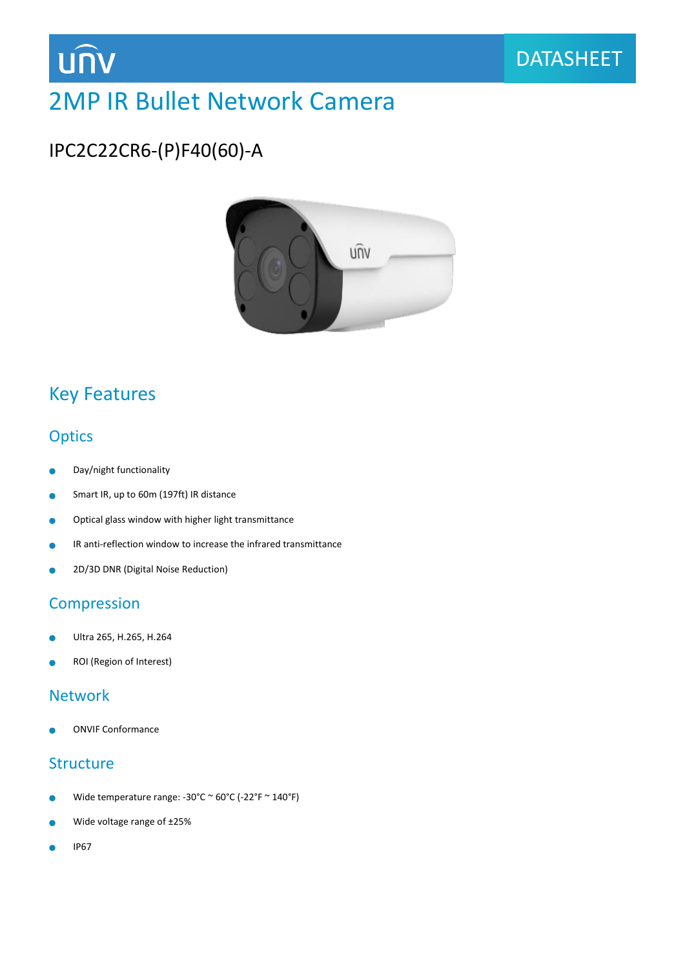

## 2MP IR Bullet Network Camera

## IPC2C22CR6-(P)F40(60)-A



### Key Features

### **Optics**

- $\bullet$ Day/night functionality
- Smart IR, up to 60m (197ft) IR distance  $\bullet$
- Optical glass window with higher light transmittance  $\bullet$
- IR anti-reflection window to increase the infrared transmittance
- 2D/3D DNR (Digital Noise Reduction) ä

### **Compression**

- Ultra 265, H.265, H.264
- ROI (Region of Interest)

### Network

ONVIF Conformance

### **Structure**

- Wide temperature range: -30°C  $\sim$  60°C (-22°F  $\sim$  140°F)
- Wide voltage range of ±25% ò
- IP67Ä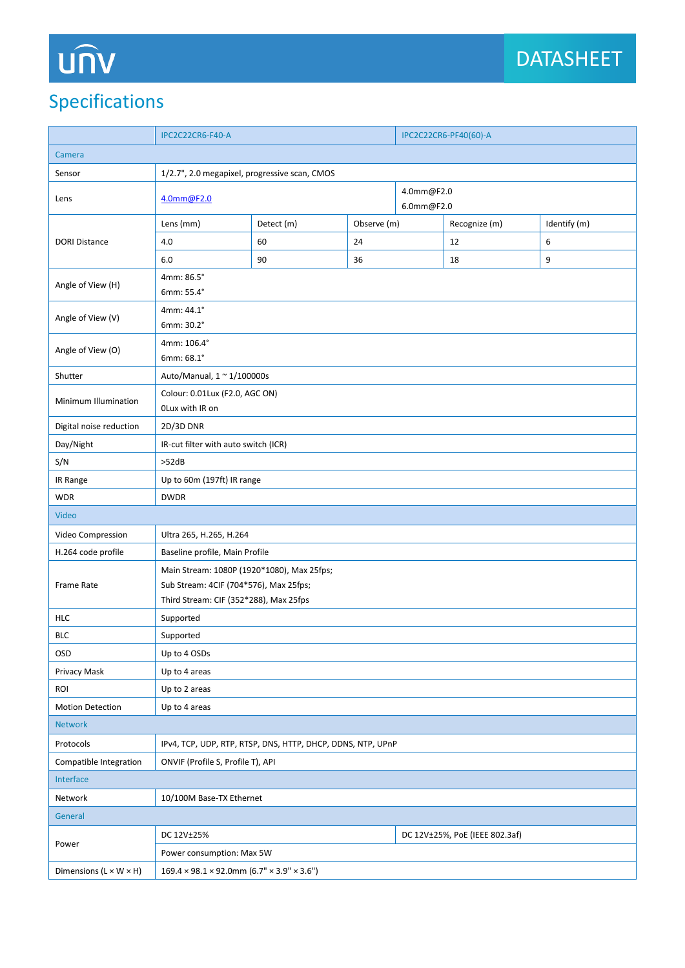# UN

## Specifications

|                                                         | <b>IPC2C22CR6-F40-A</b>                                     |            |             | IPC2C22CR6-PF40(60)-A          |               |              |  |
|---------------------------------------------------------|-------------------------------------------------------------|------------|-------------|--------------------------------|---------------|--------------|--|
| Camera                                                  |                                                             |            |             |                                |               |              |  |
| 1/2.7", 2.0 megapixel, progressive scan, CMOS<br>Sensor |                                                             |            |             |                                |               |              |  |
| Lens                                                    | 4.0mm@F2.0                                                  |            |             | 4.0mm@F2.0<br>6.0mm@F2.0       |               |              |  |
| <b>DORI Distance</b>                                    | Lens (mm)                                                   | Detect (m) | Observe (m) |                                | Recognize (m) | Identify (m) |  |
|                                                         | 4.0                                                         | 60         | 24          |                                | 12            | 6            |  |
|                                                         | 6.0                                                         | 90         | 36          |                                | 18            | 9            |  |
| Angle of View (H)                                       | 4mm: 86.5°                                                  |            |             |                                |               |              |  |
|                                                         | 6mm: 55.4°                                                  |            |             |                                |               |              |  |
| Angle of View (V)                                       | 4mm: 44.1°                                                  |            |             |                                |               |              |  |
|                                                         | 6mm: 30.2°                                                  |            |             |                                |               |              |  |
| Angle of View (O)                                       | 4mm: 106.4°<br>6mm: 68.1°                                   |            |             |                                |               |              |  |
| Shutter                                                 | Auto/Manual, 1 ~ 1/100000s                                  |            |             |                                |               |              |  |
|                                                         | Colour: 0.01Lux (F2.0, AGC ON)                              |            |             |                                |               |              |  |
| Minimum Illumination                                    | OLux with IR on                                             |            |             |                                |               |              |  |
| Digital noise reduction                                 | 2D/3D DNR                                                   |            |             |                                |               |              |  |
| Day/Night                                               | IR-cut filter with auto switch (ICR)                        |            |             |                                |               |              |  |
| S/N                                                     | >52dB                                                       |            |             |                                |               |              |  |
| IR Range                                                | Up to 60m (197ft) IR range                                  |            |             |                                |               |              |  |
| <b>WDR</b>                                              | <b>DWDR</b>                                                 |            |             |                                |               |              |  |
| Video                                                   |                                                             |            |             |                                |               |              |  |
| Video Compression                                       | Ultra 265, H.265, H.264                                     |            |             |                                |               |              |  |
| H.264 code profile                                      | Baseline profile, Main Profile                              |            |             |                                |               |              |  |
| Frame Rate                                              | Main Stream: 1080P (1920*1080), Max 25fps;                  |            |             |                                |               |              |  |
|                                                         | Sub Stream: 4CIF (704*576), Max 25fps;                      |            |             |                                |               |              |  |
|                                                         | Third Stream: CIF (352*288), Max 25fps                      |            |             |                                |               |              |  |
| <b>HLC</b>                                              | Supported                                                   |            |             |                                |               |              |  |
| <b>BLC</b>                                              | Supported                                                   |            |             |                                |               |              |  |
| OSD                                                     | Up to 4 OSDs                                                |            |             |                                |               |              |  |
| Privacy Mask                                            | Up to 4 areas                                               |            |             |                                |               |              |  |
| ROI                                                     | Up to 2 areas                                               |            |             |                                |               |              |  |
| <b>Motion Detection</b>                                 | Up to 4 areas                                               |            |             |                                |               |              |  |
| <b>Network</b>                                          |                                                             |            |             |                                |               |              |  |
| Protocols                                               | IPv4, TCP, UDP, RTP, RTSP, DNS, HTTP, DHCP, DDNS, NTP, UPnP |            |             |                                |               |              |  |
| Compatible Integration                                  | ONVIF (Profile S, Profile T), API                           |            |             |                                |               |              |  |
| Interface                                               |                                                             |            |             |                                |               |              |  |
| Network                                                 | 10/100M Base-TX Ethernet                                    |            |             |                                |               |              |  |
| General                                                 |                                                             |            |             |                                |               |              |  |
| Power                                                   | DC 12V±25%                                                  |            |             | DC 12V±25%, PoE (IEEE 802.3af) |               |              |  |
|                                                         | Power consumption: Max 5W                                   |            |             |                                |               |              |  |
| Dimensions $(L \times W \times H)$                      | $169.4 \times 98.1 \times 92.0$ mm (6.7" × 3.9" × 3.6")     |            |             |                                |               |              |  |